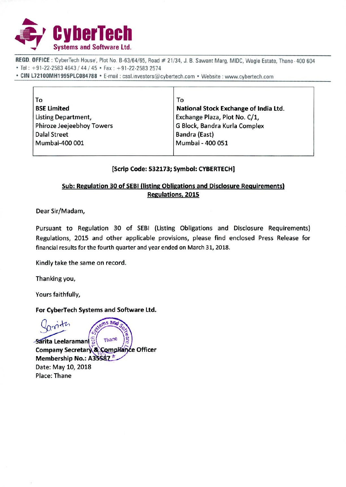

REGD. OFFICE: 'CyberTech House', Plot No. B-63/64/65, Road # 21/34, J. B. Sawant Marg, MIDC, Wagle Estate, Thane-400 604 Tel: +91-22-2583 4643 / 44 / 45 • Fax : +91-22-2583 2574

• CIN L72100MH1995PLC084788 • E-mail : cssl.investors@cybertech.com • Website : www.cybertech.com

| То                        | To                                    |
|---------------------------|---------------------------------------|
| <b>BSE Limited</b>        | National Stock Exchange of India Ltd. |
| Listing Department,       | Exchange Plaza, Plot No. C/1,         |
| Phiroze Jeejeebhoy Towers | G Block, Bandra Kurla Complex         |
| <b>Dalal Street</b>       | Bandra (East)                         |
| Mumbai-400 001            | Mumbai - 400 051                      |
|                           |                                       |

#### **[Scrip Code: 532173; Symbol: CYBERTECHI**

### **Sub: Regulation 30 of SEBI (listing Obligations and Disclosure Requirements) Regulations, 2015**

Dear Sir/Madam,

Pursuant to Regulation 30 of SEBI (Listing Obligations and Disclosure Requirements) Regulations, 2015 and other applicable provisions, please find enclosed Press Release for financial results for the fourth quarter and year ended on March 31, 2018.

Kindly take the same on record.

Thanking you,

Yours faithfully,

**For CyberTech Systems and Software Ltd.** 

s and Thane *Sarita Leelaramani* **Company Secretary & Compliance Officer Membership No.: A35587** Date: May 10, 2018 Place: Thane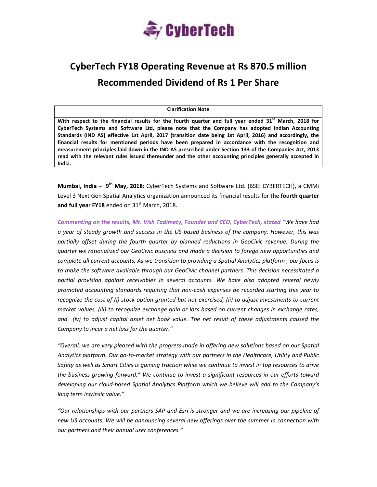

# **CyberTech FY18 Operating Revenue at Rs 870.5 million Recommended Dividend of Rs 1 Per Share**

**Clarification Note**

With respect to the financial results for the fourth quarter and full year ended 31<sup>st</sup> March, 2018 for **CyberTech Systems and Software Ltd, please note that the Company has adopted Indian Accounting Standards (IND AS) effective 1st April, 2017 (transition date being 1st April, 2016) and accordingly, the financial results for mentioned periods have been prepared in accordance with the recognition and measurement principles laid down in the IND AS prescribed under Section 133 of the Companies Act, 2013 read with the relevant rules issued thereunder and the other accounting principles generally accepted in India.** 

**Mumbai, India – 9th May, 2018**: CyberTech Systems and Software Ltd. (BSE: CYBERTECH), a CMMi Level 3 Next Gen Spatial Analytics organization announced its financial results for the **fourth quarter and full year FY18** ended on 31<sup>st</sup> March, 2018.

*Commenting on the results, Mr. Vish Tadimety, Founder and CEO, CyberTech, stated "We have had a year of steady growth and success in the US based business of the company. However, this was partially offset during the fourth quarter by planned reductions in GeoCivic revenue. During the quarter we rationalized our GeoCivic business and made a decision to forego new opportunities and complete all current accounts. As we transition to providing a Spatial Analytics platform , our focus is to make the software available through our GeoCivic channel partners. This decision necessitated a partial provision against receivables in several accounts. We have also adopted several newly promoted accounting standards requiring that non‐cash expenses be recorded starting this year to recognize the cost of (i) stock option granted but not exercised, (ii) to adjust investments to current market values, (iii) to recognize exchange gain or loss based on current changes in exchange rates, and (iv) to adjust capital asset net book value. The net result of these adjustments caused the Company to incur a net loss for the quarter."*

*"Overall, we are very pleased with the progress made in offering new solutions based on our Spatial* Analytics platform. Our go-to-market strategy with our partners in the Healthcare, Utility and Public Safety as well as Smart Cities is gaining traction while we continue to invest in top resources to drive *the business growing forward." We continue to invest a significant resources in our efforts toward developing our cloud‐based Spatial Analytics Platform which we believe will add to the Company's long term intrinsic value."* 

*"Our relationships with our partners SAP and Esri is stronger and we are increasing our pipeline of new US accounts. We will be announcing several new offerings over the summer in connection with our partners and their annual user conferences."*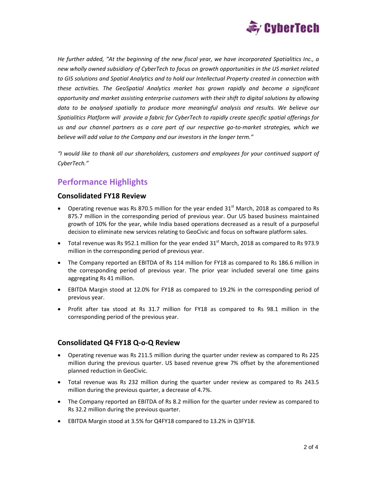

*He further added, "At the beginning of the new fiscal year, we have incorporated Spatialitics Inc., a new wholly owned subsidiary of CyberTech to focus on growth opportunities in the US market related to GIS solutions and Spatial Analytics and to hold our Intellectual Property created in connection with these activities. The GeoSpatial Analytics market has grown rapidly and become a significant opportunity and market assisting enterprise customers with their shift to digital solutions by allowing data to be analysed spatially to produce more meaningful analysis and results. We believe our Spatialitics Platform will provide a fabric for CyberTech to rapidly create specific spatial offerings for* us and our channel partners as a core part of our respective go-to-market strategies, which we *believe will add value to the Company and our investors in the longer term."*

*"I would like to thank all our shareholders, customers and employees for your continued support of CyberTech."*

## **Performance Highlights**

#### **Consolidated FY18 Review**

- Operating revenue was Rs 870.5 million for the year ended  $31<sup>st</sup>$  March, 2018 as compared to Rs 875.7 million in the corresponding period of previous year. Our US based business maintained growth of 10% for the year, while India based operations decreased as a result of a purposeful decision to eliminate new services relating to GeoCivic and focus on software platform sales.
- Total revenue was Rs 952.1 million for the year ended  $31<sup>st</sup>$  March, 2018 as compared to Rs 973.9 million in the corresponding period of previous year.
- The Company reported an EBITDA of Rs 114 million for FY18 as compared to Rs 186.6 million in the corresponding period of previous year. The prior year included several one time gains aggregating Rs 41 million.
- EBITDA Margin stood at 12.0% for FY18 as compared to 19.2% in the corresponding period of previous year.
- Profit after tax stood at Rs 31.7 million for FY18 as compared to Rs 98.1 million in the corresponding period of the previous year.

#### **Consolidated Q4 FY18 Q‐o‐Q Review**

- Operating revenue was Rs 211.5 million during the quarter under review as compared to Rs 225 million during the previous quarter. US based revenue grew 7% offset by the aforementioned planned reduction in GeoCivic.
- Total revenue was Rs 232 million during the quarter under review as compared to Rs 243.5 million during the previous quarter, a decrease of 4.7%.
- The Company reported an EBITDA of Rs 8.2 million for the quarter under review as compared to Rs 32.2 million during the previous quarter.
- EBITDA Margin stood at 3.5% for Q4FY18 compared to 13.2% in Q3FY18.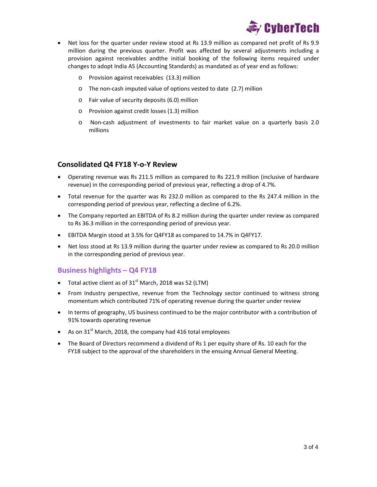

- Net loss for the quarter under review stood at Rs 13.9 million as compared net profit of Rs 9.9 million during the previous quarter. Profit was affected by several adjustments including a provision against receivables andthe initial booking of the following items required under changes to adopt India AS (Accounting Standards) as mandated as of year end as follows:
	- o Provision against receivables (13.3) million
	- o The non‐cash imputed value of options vested to date (2.7) million
	- o Fair value of security deposits (6.0) million
	- o Provision against credit losses (1.3) million
	- o Non‐cash adjustment of investments to fair market value on a quarterly basis 2.0 millions

#### **Consolidated Q4 FY18 Y‐o‐Y Review**

- Operating revenue was Rs 211.5 million as compared to Rs 221.9 million (inclusive of hardware revenue) in the corresponding period of previous year, reflecting a drop of 4.7%.
- Total revenue for the quarter was Rs 232.0 million as compared to the Rs 247.4 million in the corresponding period of previous year, reflecting a decline of 6.2%.
- The Company reported an EBITDA of Rs 8.2 million during the quarter under review as compared to Rs 36.3 million in the corresponding period of previous year.
- EBITDA Margin stood at 3.5% for Q4FY18 as compared to 14.7% in Q4FY17.
- Net loss stood at Rs 13.9 million during the quarter under review as compared to Rs 20.0 million in the corresponding period of previous year.

#### **Business highlights – Q4 FY18**

- Total active client as of  $31<sup>st</sup>$  March, 2018 was 52 (LTM)
- From Industry perspective, revenue from the Technology sector continued to witness strong momentum which contributed 71% of operating revenue during the quarter under review
- In terms of geography, US business continued to be the major contributor with a contribution of 91% towards operating revenue
- As on  $31<sup>st</sup>$  March, 2018, the company had 416 total employees
- The Board of Directors recommend a dividend of Rs 1 per equity share of Rs. 10 each for the FY18 subject to the approval of the shareholders in the ensuing Annual General Meeting.